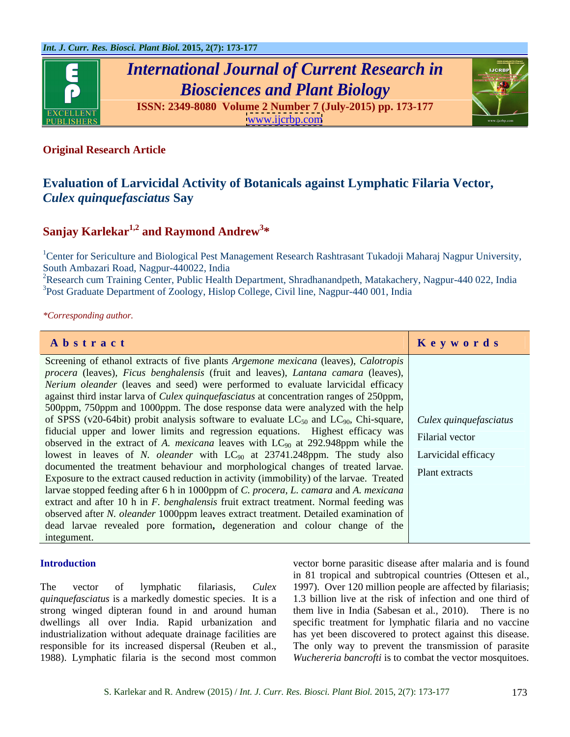

# *International Journal of Current Research in Biosciences and Plant Biology*



**ISSN: 2349-8080 Volume 2 Number 7 (July-2015) pp. 173-177** [www.ijcrbp.com](http://www.ijcrbp.com)

### **Original Research Article**

## **Evaluation of Larvicidal Activity of Botanicals against Lymphatic Filaria Vector,**  *Culex quinquefasciatus* **Say**

### **Sanjay Karlekar1,2 and Raymond Andrew3 \***

<sup>1</sup>Center for Sericulture and Biological Pest Management Research Rashtrasant Tukadoji Maharaj Nagpur University, South Ambazari Road, Nagpur-440022, India

<sup>2</sup>Research cum Training Center, Public Health Department, Shradhanandpeth, Matakachery, Nagpur-440 022, India <sup>3</sup>Post Graduate Department of Zoology, Hislop College, Civil line, Nagpur-440 001, India

*\*Corresponding author.*

| Abstract                                                                                                                                                                      | Keywords |
|-------------------------------------------------------------------------------------------------------------------------------------------------------------------------------|----------|
| Screening of ethanol extracts of five plants Argemone mexicana (leaves), Calotropis                                                                                           |          |
| procera (leaves), Ficus benghalensis (fruit and leaves), Lantana camara (leaves),                                                                                             |          |
| Nerium oleander (leaves and seed) were performed to evaluate larvicidal efficacy                                                                                              |          |
| against third instar larva of <i>Culex quinquefasciatus</i> at concentration ranges of 250ppm,                                                                                |          |
| 500ppm, 750ppm and 1000ppm. The dose response data were analyzed with the help                                                                                                |          |
| of SPSS (v20-64bit) probit analysis software to evaluate $LC_{50}$ and $LC_{90}$ , Chi-square, <i>Culex quinquefasciatus</i>                                                  |          |
|                                                                                                                                                                               |          |
| fiducial upper and lower limits and regression equations. Highest efficacy was<br>observed in the extract of A. <i>mexicana</i> leaves with $LC_{90}$ at 292.948ppm while the |          |
| lowest in leaves of N. <i>oleander</i> with $LC_{90}$ at 23741.248ppm. The study also Larvicidal efficacy                                                                     |          |
| documented the treatment behaviour and morphological changes of treated larvae. Plant extracts                                                                                |          |
| Exposure to the extract caused reduction in activity (immobility) of the larvae. Treated                                                                                      |          |
|                                                                                                                                                                               |          |
| larvae stopped feeding after 6 h in 1000ppm of C. procera, L. camara and A. mexicana                                                                                          |          |
| extract and after 10 h in F. benghalensis fruit extract treatment. Normal feeding was                                                                                         |          |
| observed after N. oleander 1000ppm leaves extract treatment. Detailed examination of                                                                                          |          |
| dead larvae revealed pore formation, degeneration and colour change of the                                                                                                    |          |
| integument.                                                                                                                                                                   |          |

The vector of lymphatic filariasis, *Culex*  1997). Over 120 million people are affected by filariasis; *quinquefasciatus* is a markedly domestic species. It is a strong winged dipteran found in and around human them live in India (Sabesan et al., 2010). There is no dwellings all over India. Rapid urbanization and specific treatment for lymphatic filaria and no vaccine industrialization without adequate drainage facilities are has yet been discovered to protect against this disease. responsible for its increased dispersal (Reuben et al., The only way to prevent the transmission of parasite 1988). Lymphatic filaria is the second most common *Wuchereria bancrofti* is to combat the vector mosquitoes.

**Introduction** vector borne parasitic disease after malaria and is found in 81 tropical and subtropical countries (Ottesen et al., 1.3 billion live at the risk of infection and one third of them live in India (Sabesan et al*.,* 2010). There is no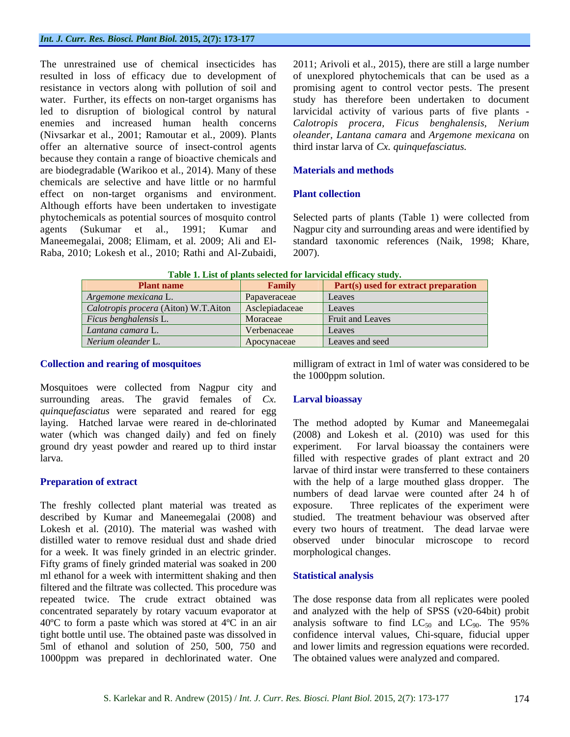resistance in vectors along with pollution of soil and offer an alternative source of insect-control agents because they contain a range of bioactive chemicals and are biodegradable (Warikoo et al., 2014). Many of these **Materials and methods** chemicals are selective and have little or no harmful effect on non-target organisms and environment. Plant collection Although efforts have been undertaken to investigate Raba, 2010; Lokesh et al., 2010; Rathi and Al-Zubaidi,

The unrestrained use of chemical insecticides has 2011; Arivoli et al., 2015), there are still a large number resulted in loss of efficacy due to development of of unexplored phytochemicals that can be used as a water. Further, its effects on non-target organisms has study has therefore been undertaken to document led to disruption of biological control by natural larvicidal activity of various parts of five plants enemies and increased human health concerns *Calotropis procera, Ficus benghalensis, Nerium* (Nivsarkar et al., 2001; Ramoutar et al*.,* 2009). Plants *oleander, Lantana camara* and *Argemone mexicana* on promising agent to control vector pests. The present third instar larva of *Cx. quinquefasciatus.*

### **Materials and methods**

### **Plant collection**

phytochemicals as potential sources of mosquito control Selected parts of plants (Table 1) were collected from agents (Sukumar et al., 1991; Kumar and Nagpur city and surrounding areas and were identified by Maneemegalai, 2008; Elimam, et al*.* 2009; Ali and El- standard taxonomic references (Naik, 1998; Khare, 2007).

| <b>Plant name</b>                                     | <b>Tamily</b> | <b>Part(s)</b> used for extract preparation |
|-------------------------------------------------------|---------------|---------------------------------------------|
| $\vert$ Argemone mexicana L.                          | Papaveraceae  | Leaves                                      |
| Calotropis procera (Aiton) W.T.Aiton   Asclepiadaceae |               | Leaves                                      |
| $Ficus$ benghalensis $L.$                             | Moraceae      | Fruit and Leaves                            |
| Lantana camara L.                                     | Verbenaceae   | Leaves                                      |
| Nerium oleander L.                                    | Apocynaceae   | Leaves and seed                             |

| rable t<br>efficacy<br>selected for<br>plants<br>study<br>∴lar<br>'ıcıda<br>. List of |  |  |  |
|---------------------------------------------------------------------------------------|--|--|--|
|---------------------------------------------------------------------------------------|--|--|--|

Mosquitoes were collected from Nagpur city and surrounding areas. The gravid females of *Cx*. **Larval bioassay** *quinquefasciatus* were separated and reared for egg laying. Hatched larvae were reared in de-chlorinated water (which was changed daily) and fed on finely ground dry yeast powder and reared up to third instar

The freshly collected plant material was treated as exposure. for a week. It was finely grinded in an electric grinder. Fifty grams of finely grinded material was soaked in 200 ml ethanol for a week with intermittent shaking and then **Statistical analysis** filtered and the filtrate was collected. This procedure was repeated twice. The crude extract obtained was The dose response data from all replicates were pooled concentrated separately by rotary vacuum evaporator at and analyzed with the help of SPSS (v20-64bit) probit 40°C to form a paste which was stored at 4°C in an air analysis software to find  $LC_{50}$  and  $LC_{90}$ . The 95% tight bottle until use. The obtained paste was dissolved in confidence interval values, Chi-square, fiducial upper 5ml of ethanol and solution of 250, 500, 750 and and lower limits and regression equationswere recorded. 1000ppm was prepared in dechlorinated water. One

**Collection and rearing of mosquitoes** milligram of extract in 1ml of water was considered to be the 1000ppm solution.

### **Larval bioassay**

laying. Hatched larvae were reared in de-chlorinated The method adopted by Kumar and Maneemegalai larva. filled with respective grades of plant extract and 20 **Preparation of extract Extract COVER 12 SET ASSESS** with the help of a large mouthed glass dropper. The described by Kumar and Maneemegalai (2008) and studied. The treatment behaviour was observed after Lokesh et al. (2010). The material was washed with every two hours of treatment. The dead larvae were distilled water to remove residual dustand shade dried observed under binocular microscope to record (2008) and Lokesh et al. (2010) was used for this For larval bioassay the containers were larvae of third instar were transferred to these containers numbers of dead larvae were counted after 24 h of Three replicates of the experiment were morphological changes.

### **Statistical analysis**

The obtained values were analyzed and compared.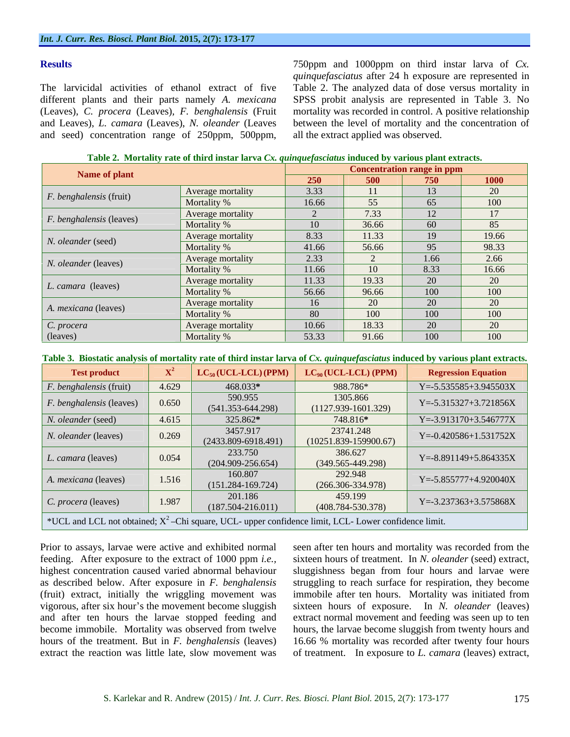The larvicidal activities of ethanol extract of five Table 2. The analyzed data of dose versus mortality in different plants and their parts namely *A. mexicana* SPSS probit analysis are represented in Table 3. No (Leaves), *C. procera* (Leaves)*, F. benghalensis* (Fruit mortality was recorded in control. A positive relationship and Leaves), *L. camara* (Leaves), *N. oleander* (Leaves between the level of mortality and the concentration of

**Results Results Results Results Results Results Results Results Results Results Results Results Results Results Results Results Results Results Results Results Results Results R Results** 750ppm and 1000ppm on third instar larva of *Cx.*<br> *quinquefasciatus* after 24 h exposure are represented in<br>
different plants and their parts namely *A. mexicana* SPSS probit analyzed data of dose versus mortali *quinquefasciatus* after 24 h exposure are represented in all the extract applied was observed.

**Table 2. Mortality rate of third instar larva** *Cx. quinquefasciatus* **induced by various plant extracts.**

| Name of plant                   |                   |       | Concentration range in ppm |      |                 |
|---------------------------------|-------------------|-------|----------------------------|------|-----------------|
|                                 |                   | 250   | 500                        | 750  | 1000            |
| $F.$ benghalensis (fruit)       | Average mortality | 3.33  |                            | 13   |                 |
|                                 | Mortality %       | 16.66 | 55                         | 65   | 100             |
|                                 | Average mortality |       | 7.33                       | 12   | 17 <sup>2</sup> |
| <i>F. benghalensis</i> (leaves) | Mortality %       | -10   | 36.66                      | 60   | 85              |
|                                 | Average mortality | 8.33  | 11.33                      | 19   | 19.66           |
| N. oleander (seed)              | Mortality %       | 41.66 | 56.66                      | 95   | 98.33           |
|                                 | Average mortality | 2.33  |                            | 1.66 | 2.66            |
| N. oleander (leaves)            | Mortality %       | 11.66 | 10                         | 8.33 | 16.66           |
|                                 | Average mortality | 11.33 | 19.33                      | 20   | $20^{\circ}$    |
| L. camara (leaves)              | Mortality %       | 56.66 | 96.66                      | 100  | 100             |
|                                 | Average mortality | 16    |                            | 20   |                 |
| A. mexicana (leaves)            | Mortality %       | 80    | $100 -$                    | 100  | 100             |
| C. procera                      | Average mortality | 10.66 | 18.33                      | 20   |                 |
| (leaves)                        | Mortality %       | 53.33 | 91.66                      | 100  | $100 -$         |

**Table 3. Biostatic analysis of mortality rate of third instar larva of** *Cx. quinquefasciatus* **induced by various plant extracts.**

| <b>Test product</b>            |       | $\mathcal{L}_{50}$ (UCL-LCL) (PPM)  | $LC_{90} (UCL-LCL) (PPM)$                                                                               | <b>Regression Equation</b>  |
|--------------------------------|-------|-------------------------------------|---------------------------------------------------------------------------------------------------------|-----------------------------|
| <i>F. benghalensis</i> (fruit) | 4.629 | 468.033*                            | 988.786*                                                                                                | $Y = -5.535585 + 3.945503X$ |
| F. benghalensis (leaves)       | 0.650 | 590.955<br>$(541.353 - 644.298)$    | 1305.866<br>$(1127.939 - 1601.329)$                                                                     | $Y = -5.315327 + 3.721856X$ |
| N. oleander (seed)             | 4.615 | 325.862*                            | 748.816*                                                                                                | $Y = -3.913170 + 3.546777X$ |
| N. oleander (leaves)           | 0.269 | 3457.917<br>$(2433.809 - 6918.491)$ | 23741.248<br>$(10251.839-159900.67)$                                                                    | $Y = -0.420586 + 1.531752X$ |
| L. camara (leaves)             | 0.054 | 233.750<br>$(204.909 - 256.654)$    | 386.627<br>$(349.565 - 449.298)$                                                                        | $Y = -8.891149 + 5.864335X$ |
| A. mexicana (leaves)           | 1.516 | 160.807<br>$(151.284 - 169.724)$    | 292.948<br>$(266.306 - 334.978)$                                                                        | $Y = -5.855777 + 4.920040X$ |
| C. procera (leaves)            | 1.987 | 201.186<br>$(187.504 - 216.011)$    | 459.199<br>$(408.784 - 530.378)$                                                                        | $Y = -3.237363 + 3.575868X$ |
|                                |       |                                     | *UCL and LCL not obtained; $X^2$ -Chi square, UCL- upper confidence limit, LCL- Lower confidence limit. |                             |

Prior to assays, larvae were active and exhibited normal seen after ten hours and mortality was recorded from the feeding. After exposure to the extract of 1000 ppm *i.e.,* sixteen hours of treatment. In *N. oleander* (seed) extract, highest concentration caused varied abnormal behaviour sluggishness began from four hours and larvae were as described below. After exposure in *F. benghalensis* struggling to reach surface for respiration, they become (fruit) extract, initially the wriggling movement was immobile after ten hours. Mortality was initiated from vigorous, after six hour's the movement become sluggish sixteen hours of exposure. In *N. oleander* (leaves) and after ten hours the larvae stopped feeding and extract normal movement and feeding was seen up to ten become immobile. Mortality was observed from twelve hours, the larvae become sluggish from twenty hours and hours of the treatment. But in *F. benghalensis* (leaves) 16.66 % mortality was recorded after twenty four hours extract the reaction was little late, slow movement was of treatment. In exposure to *L. camara* (leaves) extract,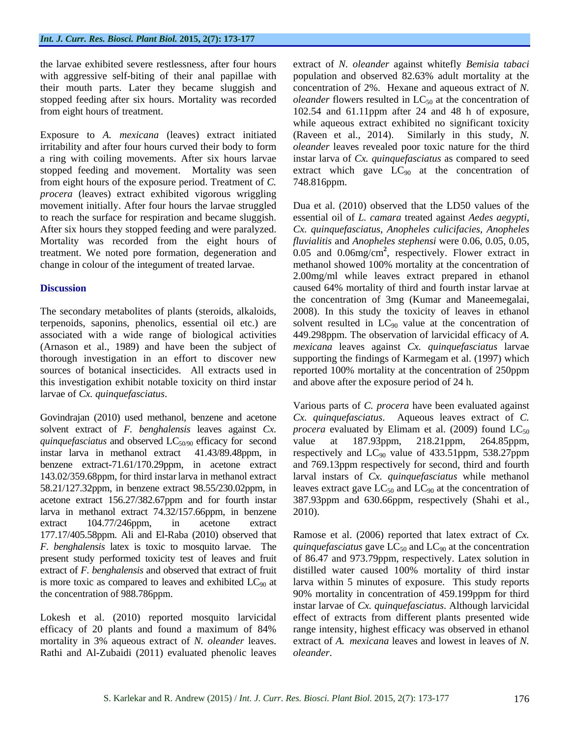their mouth parts. Later they became sluggish and

irritability and after four hours curved their body to form *oleander* leaves revealed poor toxic nature for the third a ring with coiling movements. After six hours larvae stopped feeding and movement. Mortality was seen extract which gave  $LC_{90}$  at the concentration of from eight hours of the exposure period. Treatment of *C. procera* (leaves) extract exhibited vigorous wriggling Mortality was recorded from the eight hours of

this investigation exhibit notable toxicity on third instar

solvent extract of *F. benghalensis* leaves against *Cx. quinquefasciatus* and observed  $LC_{50/90}$  efficacy for second value at 187.93ppm, 218.21ppm, 264.85ppm, instar larva in methanol extract 41.43/89.48ppm, in respectively and  $LC_{90}$  value of 433.51ppm, 538.27ppm benzene extract-71.61/170.29ppm, in acetone extract and 769.13ppm respectively for second, third and fourth 143.02/359.68ppm, for third instarlarva in methanol extract larval instars of *Cx. quinquefasciatus* while methanol 58.21/127.32ppm, in benzene extract 98.55/230.02ppm, in leaves extract gave  $LC_{50}$  and  $LC_{90}$  at the concentration of acetone extract 156.27/382.67ppm and for fourth instar 387.93ppm and 630.66ppm, respectively (Shahi et al., larva in methanol extract 74.32/157.66ppm, in benzene 2010). extract 104.77/246ppm, in acetone extract 177.17/405.58ppm. Ali and El-Raba (2010) observed that *F. benghalensis* latex is toxic to mosquito larvae. The quinquefasciatus gave LC<sub>50</sub> and LC<sub>90</sub> at the concentration present study performed toxicity test of leaves and fruit of 86.47 and 973.79ppm, respectively. Latex solution in extract of *F. benghalensis* and observed that extract of fruit distilled water caused 100% mortality of third instar is more toxic as compared to leaves and exhibited  $LC_{90}$  at larva within 5 minutes of exposure. This study reports the concentration of 988.786ppm. 90% mortality in concentration of 459.199ppm for third

Rathi and Al-Zubaidi (2011) evaluated phenolic leaves

the larvae exhibited severe restlessness, after four hours extract of *N. oleander* against whitefly *Bemisia tabaci* with aggressive self-biting of their anal papillae with population and observed 82.63% adult mortality at the stopped feeding after six hours. Mortality was recorded *oleander* flowers resulted in LC<sub>50</sub> at the concentration of from eight hours of treatment. 102.54 and 61.11ppm after 24 and 48 h of exposure, Exposure to *A. mexicana* (leaves) extract initiated (Raveen et al., 2014). Similarly in this study, *N*. concentration of 2%. Hexane and aqueous extract of *N.*  while aqueous extract exhibited no significant toxicity (Raveen et al., 2014). Similarly in this study, *N.*  instar larva of *Cx. quinquefasciatus* as compared to seed 748.816ppm.

movement initially. After four hours the larvae struggled Dua et al. (2010) observed that the LD50 values of the to reach the surface for respiration and became sluggish. essential oil of *L. camara* treated against *Aedes aegypti*, After six hours they stopped feeding and were paralyzed. *Cx. quinquefasciatus*, *Anopheles culicifacies*, *Anopheles*  treatment. We noted pore formation, degeneration and 0.05 and 0.06mg/cm **2** , respectively. Flower extract in change in colour of the integument of treated larvae. methanol showed 100% mortality at the concentration of **Discussion** caused 64% mortality of third and fourth instar larvae at The secondary metabolites of plants (steroids, alkaloids, 2008). In this study the toxicity of leaves in ethanol terpenoids, saponins, phenolics, essential oil etc.) are solvent resulted in  $LC_{90}$  value at the concentration of associated with a wide range of biological activities 449.298ppm. The observation of larvicidal efficacy of *A.*  (Arnason et al., 1989) and have been the subject of *mexicana* leaves against *Cx. quinquefasciatus* larvae thorough investigation in an effort to discover new supporting the findings of Karmegam et al. (1997) which sources of botanical insecticides. All extracts used in reported 100% mortality at the concentration of 250ppm *fluvialitis* and *Anopheles stephensi* were 0.06, 0.05, 0.05, 2.00mg/ml while leaves extract prepared in ethanol the concentration of 3mg (Kumar and Maneemegalai, and above after the exposure period of 24 h.

larvae of *Cx. quinquefasciatus*.<br>Govindrajan (2010) used methanol, benzene and acetone *Cx. quinquefasciatus*. Aqueous leaves extract of *C*. Various parts of *C. procera* have been evaluated against *Cx. quinquefasciatus*. Aqueous leaves extract of *C. procera* evaluated by Elimam et al. (2009) found  $LC_{50}$ value at 187.93ppm, 218.21ppm, 264.85ppm, 2010).

Lokesh et al. (2010) reported mosquito larvicidal effect of extracts from different plants presented wide efficacy of 20 plants and found a maximum of 84% range intensity, highest efficacy was observed in ethanol mortality in 3% aqueous extract of *N. oleander* leaves. extract of *A. mexicana* leaves and lowest in leaves of *N.* Ramose et al. (2006) reported that latex extract of *Cx.*  instar larvae of *Cx. quinquefasciatus*. Although larvicidal *oleander*.